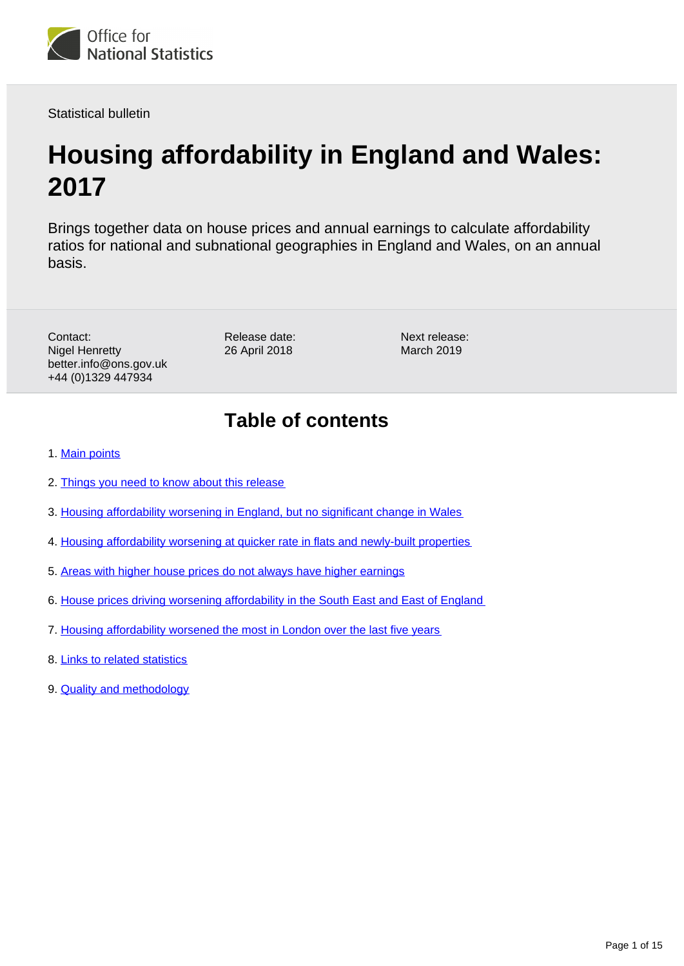

Statistical bulletin

# **Housing affordability in England and Wales: 2017**

Brings together data on house prices and annual earnings to calculate affordability ratios for national and subnational geographies in England and Wales, on an annual basis.

Contact: Nigel Henretty better.info@ons.gov.uk +44 (0)1329 447934

Release date: 26 April 2018

Next release: March 2019

## **Table of contents**

- 1. [Main points](#page-1-0)
- 2. [Things you need to know about this release](#page-1-1)
- 3. [Housing affordability worsening in England, but no significant change in Wales](#page-2-0)
- 4. [Housing affordability worsening at quicker rate in flats and newly-built properties](#page-4-0)
- 5. [Areas with higher house prices do not always have higher earnings](#page-8-0)
- 6. [House prices driving worsening affordability in the South East and East of England](#page-9-0)
- 7. [Housing affordability worsened the most in London over the last five years](#page-11-0)
- 8. [Links to related statistics](#page-13-0)
- 9. [Quality and methodology](#page-13-1)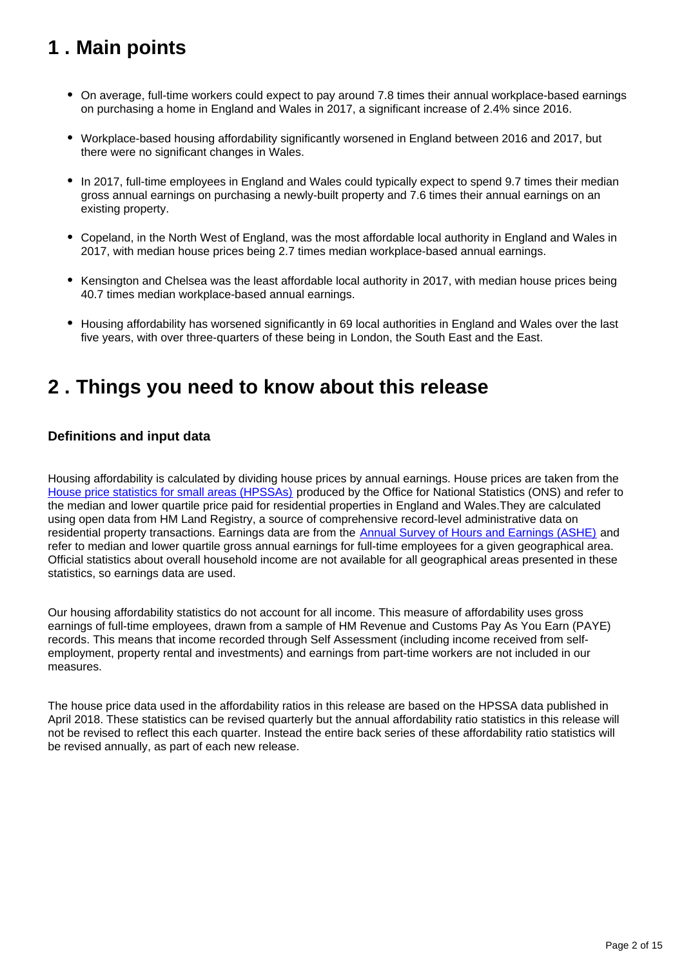## <span id="page-1-0"></span>**1 . Main points**

- On average, full-time workers could expect to pay around 7.8 times their annual workplace-based earnings on purchasing a home in England and Wales in 2017, a significant increase of 2.4% since 2016.
- Workplace-based housing affordability significantly worsened in England between 2016 and 2017, but there were no significant changes in Wales.
- In 2017, full-time employees in England and Wales could typically expect to spend 9.7 times their median gross annual earnings on purchasing a newly-built property and 7.6 times their annual earnings on an existing property.
- Copeland, in the North West of England, was the most affordable local authority in England and Wales in 2017, with median house prices being 2.7 times median workplace-based annual earnings.
- Kensington and Chelsea was the least affordable local authority in 2017, with median house prices being 40.7 times median workplace-based annual earnings.
- Housing affordability has worsened significantly in 69 local authorities in England and Wales over the last five years, with over three-quarters of these being in London, the South East and the East.

## <span id="page-1-1"></span>**2 . Things you need to know about this release**

### **Definitions and input data**

Housing affordability is calculated by dividing house prices by annual earnings. House prices are taken from the [House price statistics for small areas \(HPSSAs\)](https://www.ons.gov.uk/peoplepopulationandcommunity/housing/bulletins/housepricestatisticsforsmallareas/previousReleases) produced by the Office for National Statistics (ONS) and refer to the median and lower quartile price paid for residential properties in England and Wales.They are calculated using open data from HM Land Registry, a source of comprehensive record-level administrative data on residential property transactions. Earnings data are from the **Annual Survey of Hours and Earnings (ASHE)** and refer to median and lower quartile gross annual earnings for full-time employees for a given geographical area. Official statistics about overall household income are not available for all geographical areas presented in these statistics, so earnings data are used.

Our housing affordability statistics do not account for all income. This measure of affordability uses gross earnings of full-time employees, drawn from a sample of HM Revenue and Customs Pay As You Earn (PAYE) records. This means that income recorded through Self Assessment (including income received from selfemployment, property rental and investments) and earnings from part-time workers are not included in our measures.

The house price data used in the affordability ratios in this release are based on the HPSSA data published in April 2018. These statistics can be revised quarterly but the annual affordability ratio statistics in this release will not be revised to reflect this each quarter. Instead the entire back series of these affordability ratio statistics will be revised annually, as part of each new release.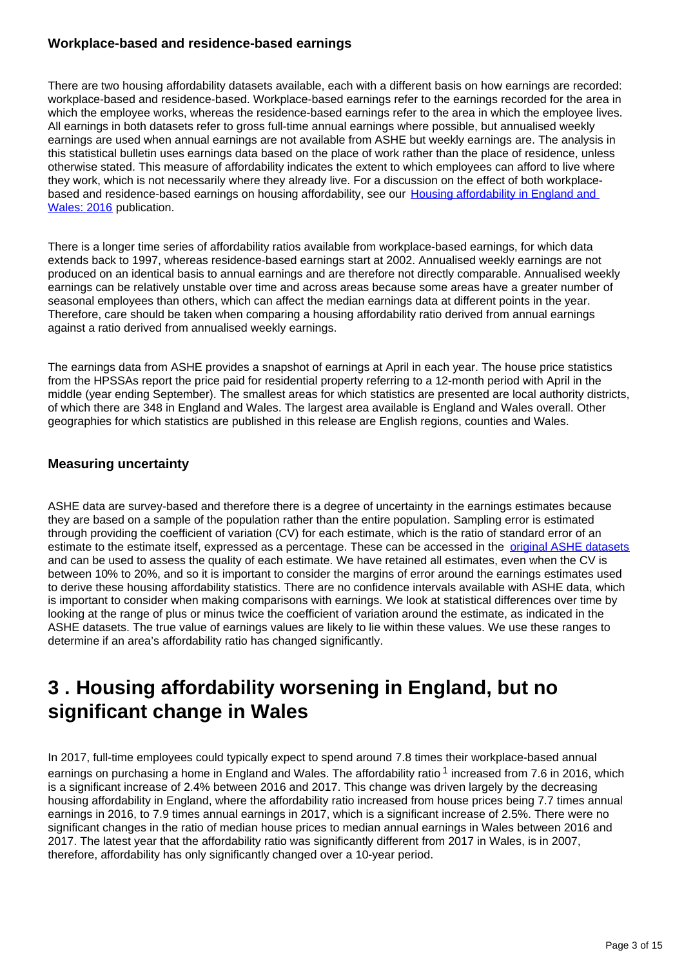### **Workplace-based and residence-based earnings**

There are two housing affordability datasets available, each with a different basis on how earnings are recorded: workplace-based and residence-based. Workplace-based earnings refer to the earnings recorded for the area in which the employee works, whereas the residence-based earnings refer to the area in which the employee lives. All earnings in both datasets refer to gross full-time annual earnings where possible, but annualised weekly earnings are used when annual earnings are not available from ASHE but weekly earnings are. The analysis in this statistical bulletin uses earnings data based on the place of work rather than the place of residence, unless otherwise stated. This measure of affordability indicates the extent to which employees can afford to live where they work, which is not necessarily where they already live. For a discussion on the effect of both workplacebased and residence-based earnings on housing affordability, see our [Housing affordability in England and](https://www.ons.gov.uk/peoplepopulationandcommunity/housing/bulletins/housingaffordabilityinenglandandwales/1997to2016)  [Wales: 2016](https://www.ons.gov.uk/peoplepopulationandcommunity/housing/bulletins/housingaffordabilityinenglandandwales/1997to2016) publication.

There is a longer time series of affordability ratios available from workplace-based earnings, for which data extends back to 1997, whereas residence-based earnings start at 2002. Annualised weekly earnings are not produced on an identical basis to annual earnings and are therefore not directly comparable. Annualised weekly earnings can be relatively unstable over time and across areas because some areas have a greater number of seasonal employees than others, which can affect the median earnings data at different points in the year. Therefore, care should be taken when comparing a housing affordability ratio derived from annual earnings against a ratio derived from annualised weekly earnings.

The earnings data from ASHE provides a snapshot of earnings at April in each year. The house price statistics from the HPSSAs report the price paid for residential property referring to a 12-month period with April in the middle (year ending September). The smallest areas for which statistics are presented are local authority districts, of which there are 348 in England and Wales. The largest area available is England and Wales overall. Other geographies for which statistics are published in this release are English regions, counties and Wales.

### **Measuring uncertainty**

ASHE data are survey-based and therefore there is a degree of uncertainty in the earnings estimates because they are based on a sample of the population rather than the entire population. Sampling error is estimated through providing the coefficient of variation (CV) for each estimate, which is the ratio of standard error of an estimate to the estimate itself, expressed as a percentage. These can be accessed in the [original ASHE datasets](https://www.ons.gov.uk/employmentandlabourmarket/peopleinwork/earningsandworkinghours/bulletins/annualsurveyofhoursandearnings/2016provisionalresults/relateddata?page=1) and can be used to assess the quality of each estimate. We have retained all estimates, even when the CV is between 10% to 20%, and so it is important to consider the margins of error around the earnings estimates used to derive these housing affordability statistics. There are no confidence intervals available with ASHE data, which is important to consider when making comparisons with earnings. We look at statistical differences over time by looking at the range of plus or minus twice the coefficient of variation around the estimate, as indicated in the ASHE datasets. The true value of earnings values are likely to lie within these values. We use these ranges to determine if an area's affordability ratio has changed significantly.

### <span id="page-2-0"></span>**3 . Housing affordability worsening in England, but no significant change in Wales**

In 2017, full-time employees could typically expect to spend around 7.8 times their workplace-based annual earnings on purchasing a home in England and Wales. The affordability ratio  $1$  increased from 7.6 in 2016, which is a significant increase of 2.4% between 2016 and 2017. This change was driven largely by the decreasing housing affordability in England, where the affordability ratio increased from house prices being 7.7 times annual earnings in 2016, to 7.9 times annual earnings in 2017, which is a significant increase of 2.5%. There were no significant changes in the ratio of median house prices to median annual earnings in Wales between 2016 and 2017. The latest year that the affordability ratio was significantly different from 2017 in Wales, is in 2007, therefore, affordability has only significantly changed over a 10-year period.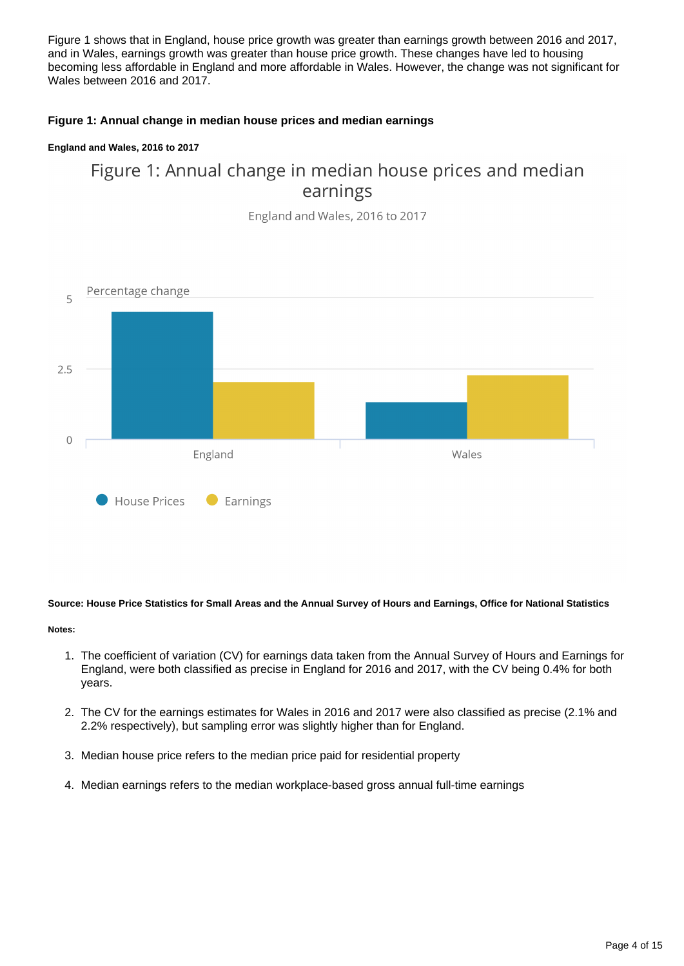Figure 1 shows that in England, house price growth was greater than earnings growth between 2016 and 2017, and in Wales, earnings growth was greater than house price growth. These changes have led to housing becoming less affordable in England and more affordable in Wales. However, the change was not significant for Wales between 2016 and 2017.

### **Figure 1: Annual change in median house prices and median earnings**

### **England and Wales, 2016 to 2017**

### Figure 1: Annual change in median house prices and median earnings

England and Wales, 2016 to 2017



### **Source: House Price Statistics for Small Areas and the Annual Survey of Hours and Earnings, Office for National Statistics**

#### **Notes:**

- 1. The coefficient of variation (CV) for earnings data taken from the Annual Survey of Hours and Earnings for England, were both classified as precise in England for 2016 and 2017, with the CV being 0.4% for both years.
- 2. The CV for the earnings estimates for Wales in 2016 and 2017 were also classified as precise (2.1% and 2.2% respectively), but sampling error was slightly higher than for England.
- 3. Median house price refers to the median price paid for residential property
- 4. Median earnings refers to the median workplace-based gross annual full-time earnings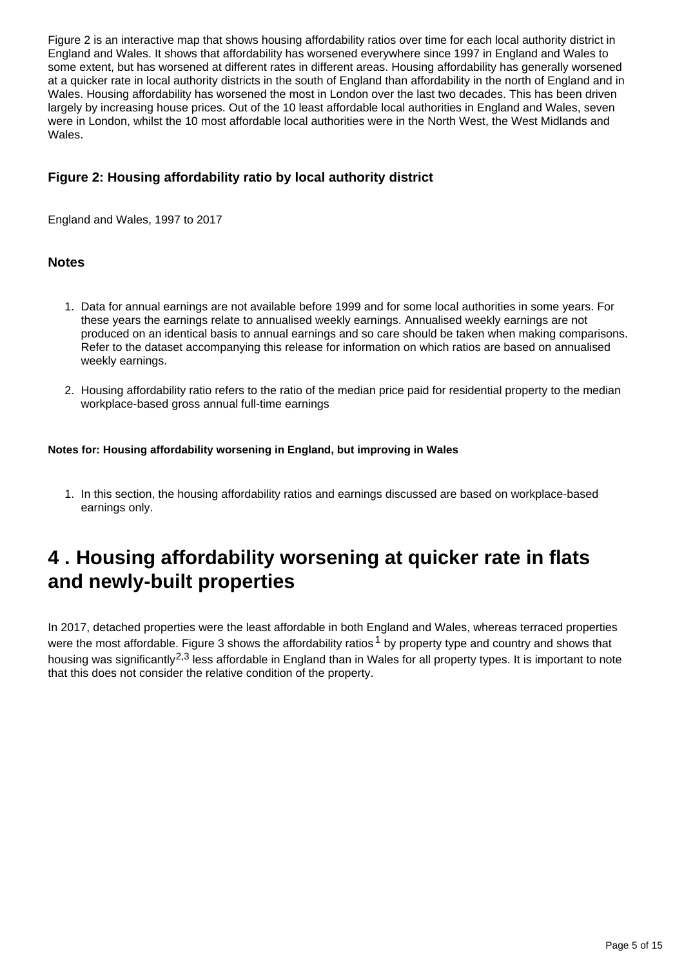Figure 2 is an interactive map that shows housing affordability ratios over time for each local authority district in England and Wales. It shows that affordability has worsened everywhere since 1997 in England and Wales to some extent, but has worsened at different rates in different areas. Housing affordability has generally worsened at a quicker rate in local authority districts in the south of England than affordability in the north of England and in Wales. Housing affordability has worsened the most in London over the last two decades. This has been driven largely by increasing house prices. Out of the 10 least affordable local authorities in England and Wales, seven were in London, whilst the 10 most affordable local authorities were in the North West, the West Midlands and Wales.

### **Figure 2: Housing affordability ratio by local authority district**

England and Wales, 1997 to 2017

### **Notes**

- 1. Data for annual earnings are not available before 1999 and for some local authorities in some years. For these years the earnings relate to annualised weekly earnings. Annualised weekly earnings are not produced on an identical basis to annual earnings and so care should be taken when making comparisons. Refer to the dataset accompanying this release for information on which ratios are based on annualised weekly earnings.
- 2. Housing affordability ratio refers to the ratio of the median price paid for residential property to the median workplace-based gross annual full-time earnings

### **Notes for: Housing affordability worsening in England, but improving in Wales**

1. In this section, the housing affordability ratios and earnings discussed are based on workplace-based earnings only.

## <span id="page-4-0"></span>**4 . Housing affordability worsening at quicker rate in flats and newly-built properties**

In 2017, detached properties were the least affordable in both England and Wales, whereas terraced properties were the most affordable. Figure 3 shows the affordability ratios  $1$  by property type and country and shows that housing was significantly<sup>2,3</sup> less affordable in England than in Wales for all property types. It is important to note that this does not consider the relative condition of the property.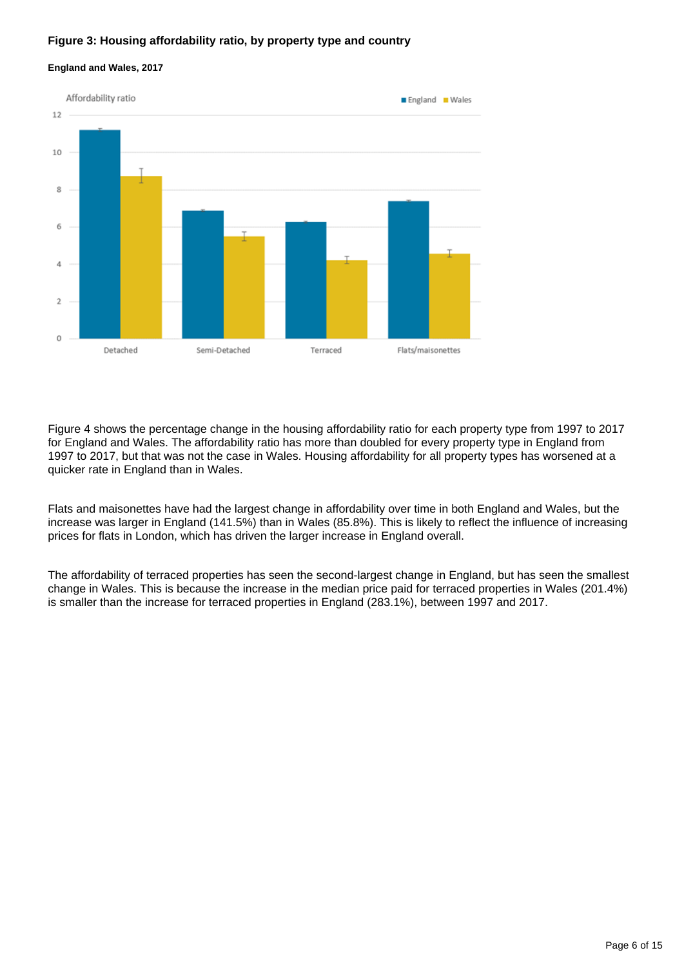### **Figure 3: Housing affordability ratio, by property type and country**





Figure 4 shows the percentage change in the housing affordability ratio for each property type from 1997 to 2017 for England and Wales. The affordability ratio has more than doubled for every property type in England from 1997 to 2017, but that was not the case in Wales. Housing affordability for all property types has worsened at a quicker rate in England than in Wales.

Flats and maisonettes have had the largest change in affordability over time in both England and Wales, but the increase was larger in England (141.5%) than in Wales (85.8%). This is likely to reflect the influence of increasing prices for flats in London, which has driven the larger increase in England overall.

The affordability of terraced properties has seen the second-largest change in England, but has seen the smallest change in Wales. This is because the increase in the median price paid for terraced properties in Wales (201.4%) is smaller than the increase for terraced properties in England (283.1%), between 1997 and 2017.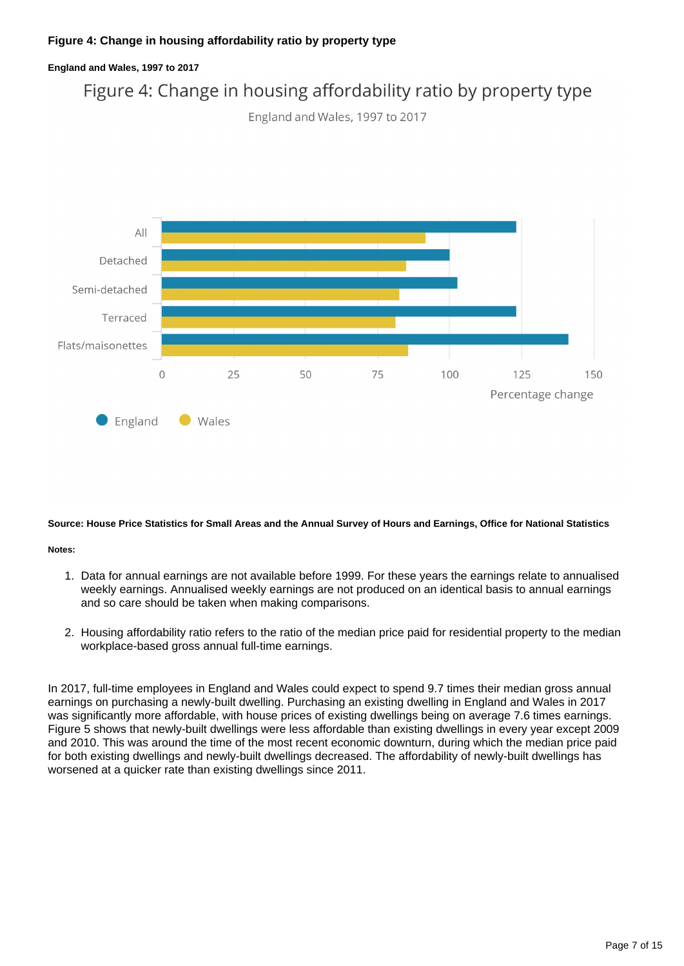### **Figure 4: Change in housing affordability ratio by property type**



#### **Source: House Price Statistics for Small Areas and the Annual Survey of Hours and Earnings, Office for National Statistics**

#### **Notes:**

- 1. Data for annual earnings are not available before 1999. For these years the earnings relate to annualised weekly earnings. Annualised weekly earnings are not produced on an identical basis to annual earnings and so care should be taken when making comparisons.
- 2. Housing affordability ratio refers to the ratio of the median price paid for residential property to the median workplace-based gross annual full-time earnings.

In 2017, full-time employees in England and Wales could expect to spend 9.7 times their median gross annual earnings on purchasing a newly-built dwelling. Purchasing an existing dwelling in England and Wales in 2017 was significantly more affordable, with house prices of existing dwellings being on average 7.6 times earnings. Figure 5 shows that newly-built dwellings were less affordable than existing dwellings in every year except 2009 and 2010. This was around the time of the most recent economic downturn, during which the median price paid for both existing dwellings and newly-built dwellings decreased. The affordability of newly-built dwellings has worsened at a quicker rate than existing dwellings since 2011.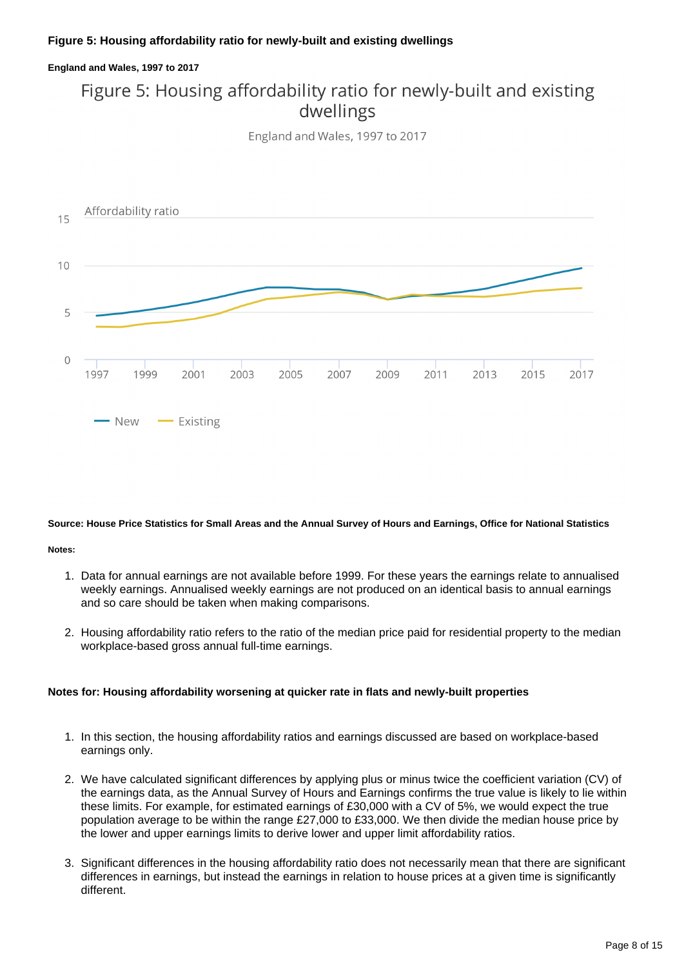### **England and Wales, 1997 to 2017** Figure 5: Housing affordability ratio for newly-built and existing dwellings

England and Wales, 1997 to 2017



### **Source: House Price Statistics for Small Areas and the Annual Survey of Hours and Earnings, Office for National Statistics**

### **Notes:**

- 1. Data for annual earnings are not available before 1999. For these years the earnings relate to annualised weekly earnings. Annualised weekly earnings are not produced on an identical basis to annual earnings and so care should be taken when making comparisons.
- 2. Housing affordability ratio refers to the ratio of the median price paid for residential property to the median workplace-based gross annual full-time earnings.

### **Notes for: Housing affordability worsening at quicker rate in flats and newly-built properties**

- 1. In this section, the housing affordability ratios and earnings discussed are based on workplace-based earnings only.
- 2. We have calculated significant differences by applying plus or minus twice the coefficient variation (CV) of the earnings data, as the Annual Survey of Hours and Earnings confirms the true value is likely to lie within these limits. For example, for estimated earnings of £30,000 with a CV of 5%, we would expect the true population average to be within the range £27,000 to £33,000. We then divide the median house price by the lower and upper earnings limits to derive lower and upper limit affordability ratios.
- 3. Significant differences in the housing affordability ratio does not necessarily mean that there are significant differences in earnings, but instead the earnings in relation to house prices at a given time is significantly different.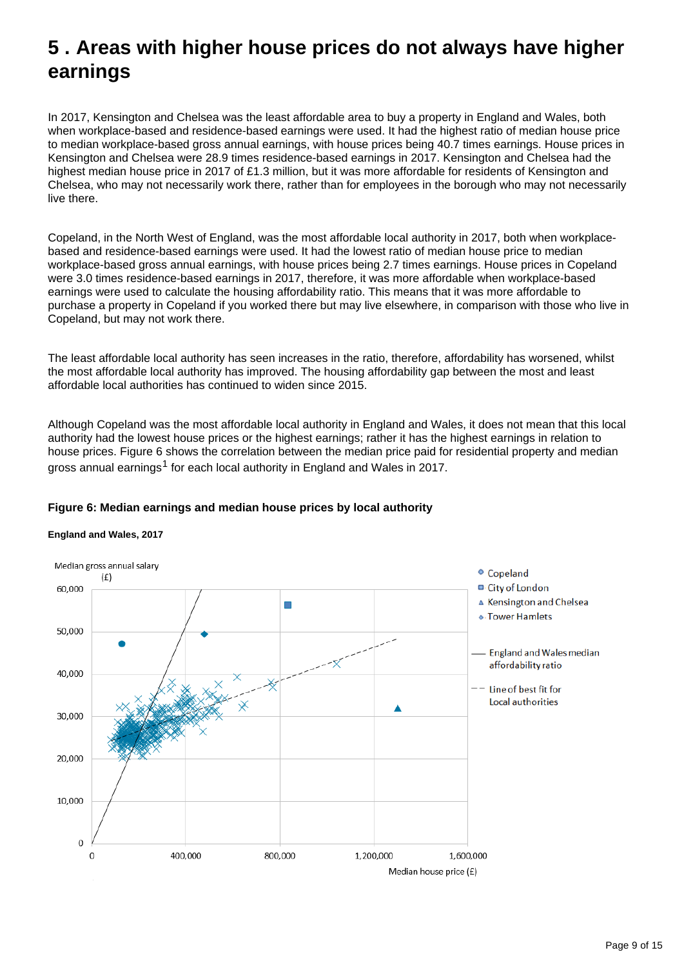## <span id="page-8-0"></span>**5 . Areas with higher house prices do not always have higher earnings**

In 2017, Kensington and Chelsea was the least affordable area to buy a property in England and Wales, both when workplace-based and residence-based earnings were used. It had the highest ratio of median house price to median workplace-based gross annual earnings, with house prices being 40.7 times earnings. House prices in Kensington and Chelsea were 28.9 times residence-based earnings in 2017. Kensington and Chelsea had the highest median house price in 2017 of £1.3 million, but it was more affordable for residents of Kensington and Chelsea, who may not necessarily work there, rather than for employees in the borough who may not necessarily live there.

Copeland, in the North West of England, was the most affordable local authority in 2017, both when workplacebased and residence-based earnings were used. It had the lowest ratio of median house price to median workplace-based gross annual earnings, with house prices being 2.7 times earnings. House prices in Copeland were 3.0 times residence-based earnings in 2017, therefore, it was more affordable when workplace-based earnings were used to calculate the housing affordability ratio. This means that it was more affordable to purchase a property in Copeland if you worked there but may live elsewhere, in comparison with those who live in Copeland, but may not work there.

The least affordable local authority has seen increases in the ratio, therefore, affordability has worsened, whilst the most affordable local authority has improved. The housing affordability gap between the most and least affordable local authorities has continued to widen since 2015.

Although Copeland was the most affordable local authority in England and Wales, it does not mean that this local authority had the lowest house prices or the highest earnings; rather it has the highest earnings in relation to house prices. Figure 6 shows the correlation between the median price paid for residential property and median gross annual earnings<sup>1</sup> for each local authority in England and Wales in 2017.



### **Figure 6: Median earnings and median house prices by local authority**

### **England and Wales, 2017**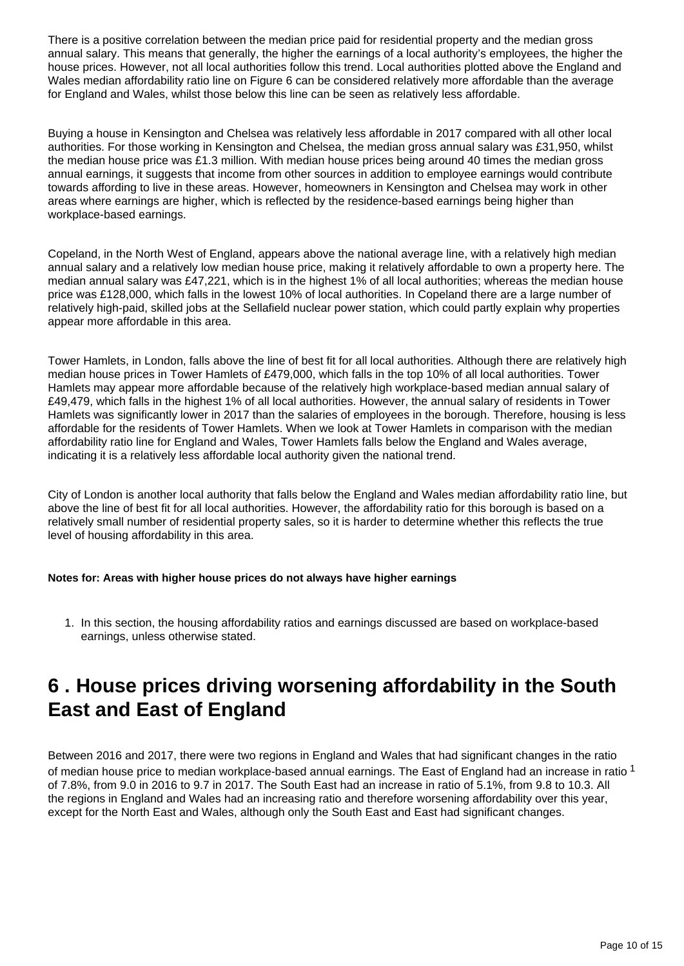There is a positive correlation between the median price paid for residential property and the median gross annual salary. This means that generally, the higher the earnings of a local authority's employees, the higher the house prices. However, not all local authorities follow this trend. Local authorities plotted above the England and Wales median affordability ratio line on Figure 6 can be considered relatively more affordable than the average for England and Wales, whilst those below this line can be seen as relatively less affordable.

Buying a house in Kensington and Chelsea was relatively less affordable in 2017 compared with all other local authorities. For those working in Kensington and Chelsea, the median gross annual salary was £31,950, whilst the median house price was £1.3 million. With median house prices being around 40 times the median gross annual earnings, it suggests that income from other sources in addition to employee earnings would contribute towards affording to live in these areas. However, homeowners in Kensington and Chelsea may work in other areas where earnings are higher, which is reflected by the residence-based earnings being higher than workplace-based earnings.

Copeland, in the North West of England, appears above the national average line, with a relatively high median annual salary and a relatively low median house price, making it relatively affordable to own a property here. The median annual salary was £47,221, which is in the highest 1% of all local authorities; whereas the median house price was £128,000, which falls in the lowest 10% of local authorities. In Copeland there are a large number of relatively high-paid, skilled jobs at the Sellafield nuclear power station, which could partly explain why properties appear more affordable in this area.

Tower Hamlets, in London, falls above the line of best fit for all local authorities. Although there are relatively high median house prices in Tower Hamlets of £479,000, which falls in the top 10% of all local authorities. Tower Hamlets may appear more affordable because of the relatively high workplace-based median annual salary of £49,479, which falls in the highest 1% of all local authorities. However, the annual salary of residents in Tower Hamlets was significantly lower in 2017 than the salaries of employees in the borough. Therefore, housing is less affordable for the residents of Tower Hamlets. When we look at Tower Hamlets in comparison with the median affordability ratio line for England and Wales, Tower Hamlets falls below the England and Wales average, indicating it is a relatively less affordable local authority given the national trend.

City of London is another local authority that falls below the England and Wales median affordability ratio line, but above the line of best fit for all local authorities. However, the affordability ratio for this borough is based on a relatively small number of residential property sales, so it is harder to determine whether this reflects the true level of housing affordability in this area.

### **Notes for: Areas with higher house prices do not always have higher earnings**

1. In this section, the housing affordability ratios and earnings discussed are based on workplace-based earnings, unless otherwise stated.

### <span id="page-9-0"></span>**6 . House prices driving worsening affordability in the South East and East of England**

Between 2016 and 2017, there were two regions in England and Wales that had significant changes in the ratio of median house price to median workplace-based annual earnings. The East of England had an increase in ratio 1 of 7.8%, from 9.0 in 2016 to 9.7 in 2017. The South East had an increase in ratio of 5.1%, from 9.8 to 10.3. All the regions in England and Wales had an increasing ratio and therefore worsening affordability over this year, except for the North East and Wales, although only the South East and East had significant changes.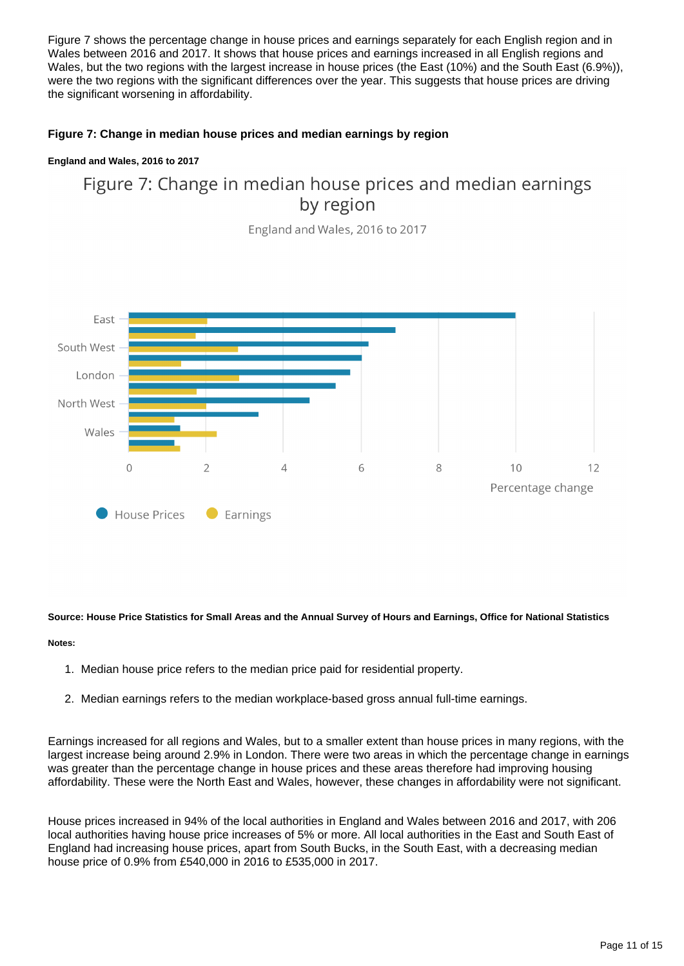Figure 7 shows the percentage change in house prices and earnings separately for each English region and in Wales between 2016 and 2017. It shows that house prices and earnings increased in all English regions and Wales, but the two regions with the largest increase in house prices (the East (10%) and the South East (6.9%)), were the two regions with the significant differences over the year. This suggests that house prices are driving the significant worsening in affordability.

### **Figure 7: Change in median house prices and median earnings by region**

### **England and Wales, 2016 to 2017**

### Figure 7: Change in median house prices and median earnings by region

England and Wales, 2016 to 2017



### **Source: House Price Statistics for Small Areas and the Annual Survey of Hours and Earnings, Office for National Statistics**

### **Notes:**

- 1. Median house price refers to the median price paid for residential property.
- 2. Median earnings refers to the median workplace-based gross annual full-time earnings.

Earnings increased for all regions and Wales, but to a smaller extent than house prices in many regions, with the largest increase being around 2.9% in London. There were two areas in which the percentage change in earnings was greater than the percentage change in house prices and these areas therefore had improving housing affordability. These were the North East and Wales, however, these changes in affordability were not significant.

House prices increased in 94% of the local authorities in England and Wales between 2016 and 2017, with 206 local authorities having house price increases of 5% or more. All local authorities in the East and South East of England had increasing house prices, apart from South Bucks, in the South East, with a decreasing median house price of 0.9% from £540,000 in 2016 to £535,000 in 2017.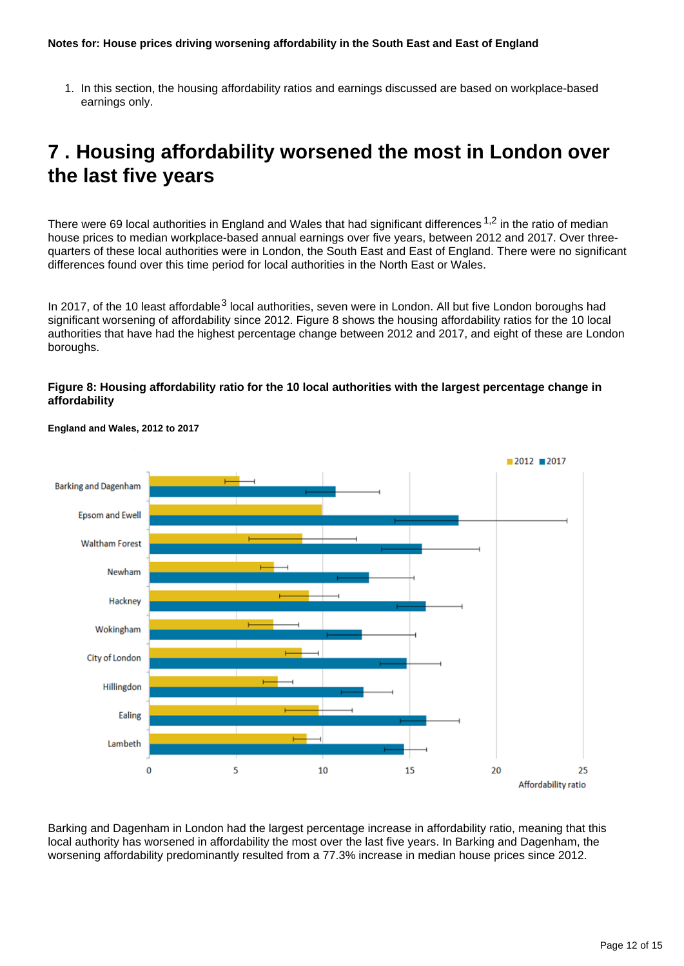1. In this section, the housing affordability ratios and earnings discussed are based on workplace-based earnings only.

## <span id="page-11-0"></span>**7 . Housing affordability worsened the most in London over the last five years**

There were 69 local authorities in England and Wales that had significant differences  $1,2$  in the ratio of median house prices to median workplace-based annual earnings over five years, between 2012 and 2017. Over threequarters of these local authorities were in London, the South East and East of England. There were no significant differences found over this time period for local authorities in the North East or Wales.

In 2017, of the 10 least affordable  $3$  local authorities, seven were in London. All but five London boroughs had significant worsening of affordability since 2012. Figure 8 shows the housing affordability ratios for the 10 local authorities that have had the highest percentage change between 2012 and 2017, and eight of these are London boroughs.

### **Figure 8: Housing affordability ratio for the 10 local authorities with the largest percentage change in affordability**



### **England and Wales, 2012 to 2017**

Barking and Dagenham in London had the largest percentage increase in affordability ratio, meaning that this local authority has worsened in affordability the most over the last five years. In Barking and Dagenham, the worsening affordability predominantly resulted from a 77.3% increase in median house prices since 2012.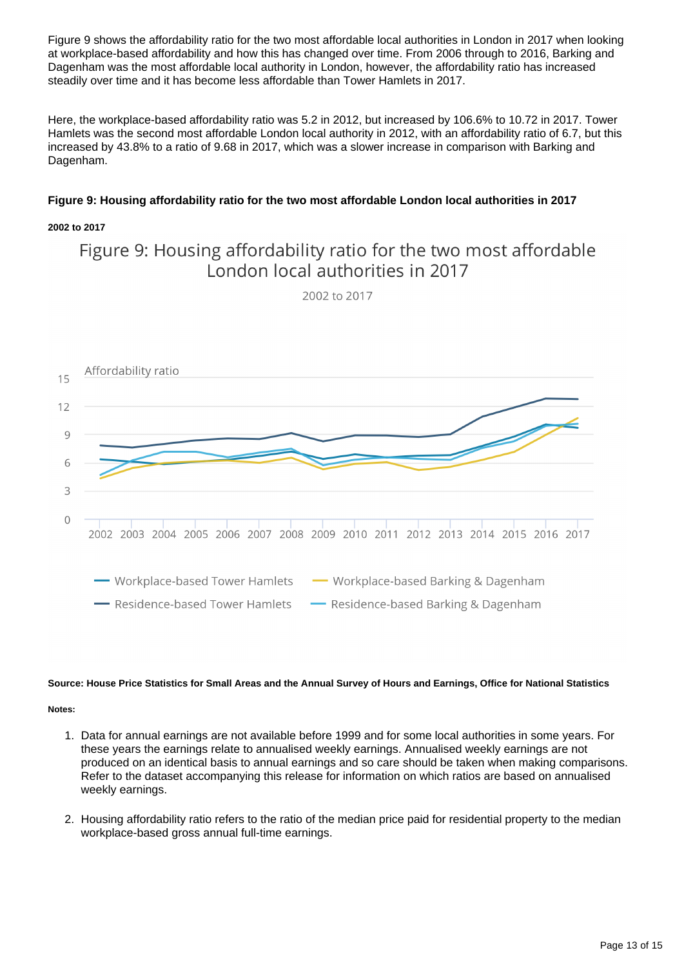Figure 9 shows the affordability ratio for the two most affordable local authorities in London in 2017 when looking at workplace-based affordability and how this has changed over time. From 2006 through to 2016, Barking and Dagenham was the most affordable local authority in London, however, the affordability ratio has increased steadily over time and it has become less affordable than Tower Hamlets in 2017.

Here, the workplace-based affordability ratio was 5.2 in 2012, but increased by 106.6% to 10.72 in 2017. Tower Hamlets was the second most affordable London local authority in 2012, with an affordability ratio of 6.7, but this increased by 43.8% to a ratio of 9.68 in 2017, which was a slower increase in comparison with Barking and Dagenham.

### **Figure 9: Housing affordability ratio for the two most affordable London local authorities in 2017**

### **2002 to 2017**

### Figure 9: Housing affordability ratio for the two most affordable London local authorities in 2017

2002 to 2017



#### **Source: House Price Statistics for Small Areas and the Annual Survey of Hours and Earnings, Office for National Statistics**

#### **Notes:**

- 1. Data for annual earnings are not available before 1999 and for some local authorities in some years. For these years the earnings relate to annualised weekly earnings. Annualised weekly earnings are not produced on an identical basis to annual earnings and so care should be taken when making comparisons. Refer to the dataset accompanying this release for information on which ratios are based on annualised weekly earnings.
- 2. Housing affordability ratio refers to the ratio of the median price paid for residential property to the median workplace-based gross annual full-time earnings.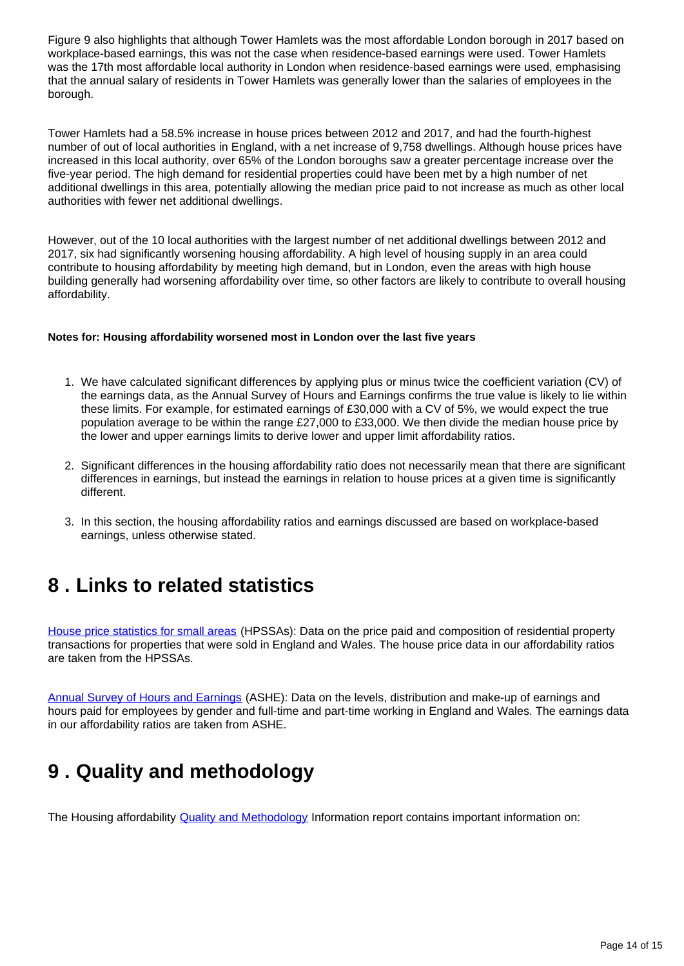Figure 9 also highlights that although Tower Hamlets was the most affordable London borough in 2017 based on workplace-based earnings, this was not the case when residence-based earnings were used. Tower Hamlets was the 17th most affordable local authority in London when residence-based earnings were used, emphasising that the annual salary of residents in Tower Hamlets was generally lower than the salaries of employees in the borough.

Tower Hamlets had a 58.5% increase in house prices between 2012 and 2017, and had the fourth-highest number of out of local authorities in England, with a net increase of 9,758 dwellings. Although house prices have increased in this local authority, over 65% of the London boroughs saw a greater percentage increase over the five-year period. The high demand for residential properties could have been met by a high number of net additional dwellings in this area, potentially allowing the median price paid to not increase as much as other local authorities with fewer net additional dwellings.

However, out of the 10 local authorities with the largest number of net additional dwellings between 2012 and 2017, six had significantly worsening housing affordability. A high level of housing supply in an area could contribute to housing affordability by meeting high demand, but in London, even the areas with high house building generally had worsening affordability over time, so other factors are likely to contribute to overall housing affordability.

### **Notes for: Housing affordability worsened most in London over the last five years**

- 1. We have calculated significant differences by applying plus or minus twice the coefficient variation (CV) of the earnings data, as the Annual Survey of Hours and Earnings confirms the true value is likely to lie within these limits. For example, for estimated earnings of £30,000 with a CV of 5%, we would expect the true population average to be within the range £27,000 to £33,000. We then divide the median house price by the lower and upper earnings limits to derive lower and upper limit affordability ratios.
- 2. Significant differences in the housing affordability ratio does not necessarily mean that there are significant differences in earnings, but instead the earnings in relation to house prices at a given time is significantly different.
- 3. In this section, the housing affordability ratios and earnings discussed are based on workplace-based earnings, unless otherwise stated.

### <span id="page-13-0"></span>**8 . Links to related statistics**

[House price statistics for small areas](https://www.ons.gov.uk/peoplepopulationandcommunity/housing/bulletins/housepricestatisticsforsmallareas/previousReleases) (HPSSAs): Data on the price paid and composition of residential property transactions for properties that were sold in England and Wales. The house price data in our affordability ratios are taken from the HPSSAs.

[Annual Survey of Hours and Earnings](https://www.ons.gov.uk/employmentandlabourmarket/peopleinwork/earningsandworkinghours/bulletins/annualsurveyofhoursandearnings/previousReleases) (ASHE): Data on the levels, distribution and make-up of earnings and hours paid for employees by gender and full-time and part-time working in England and Wales. The earnings data in our affordability ratios are taken from ASHE.

## <span id="page-13-1"></span>**9 . Quality and methodology**

The Housing affordability [Quality and Methodology](https://www.ons.gov.uk/peoplepopulationandcommunity/housing/qmis/housingaffordabilityinenglandandwales) Information report contains important information on: